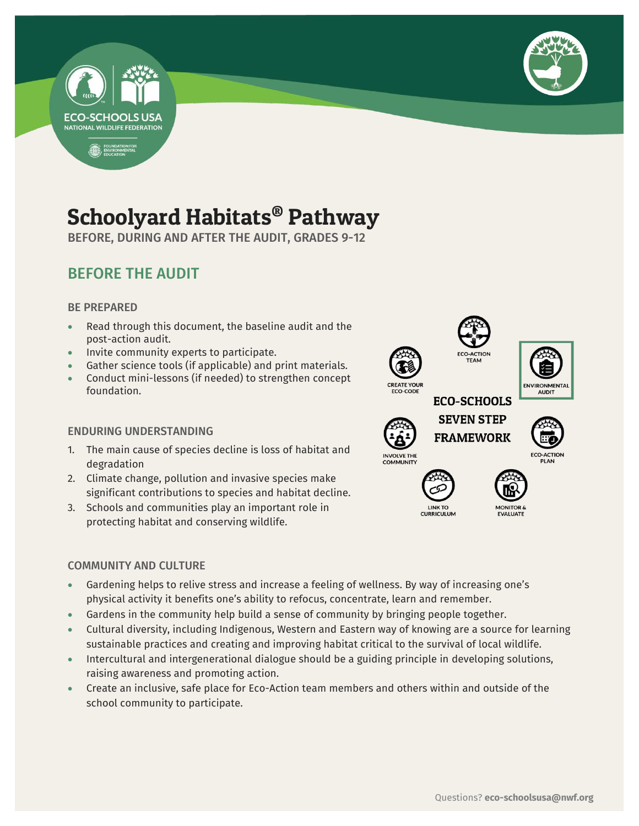



## Schoolyard Habitats® Pathway

BEFORE, DURING AND AFTER THE AUDIT, GRADES 9-12

## BEFORE THE AUDIT

#### BE PREPARED

- Read through this document, the baseline audit and the post-action audit.
- Invite community experts to participate.
- Gather science tools (if applicable) and print materials.
- Conduct mini-lessons (if needed) to strengthen concept foundation.

#### ENDURING UNDERSTANDING

- 1. The main cause of species decline is loss of habitat and degradation
- 2. Climate change, pollution and invasive species make significant contributions to species and habitat decline.
- 3. Schools and communities play an important role in protecting habitat and conserving wildlife.

#### COMMUNITY AND CULTURE

- Gardening helps to relive stress and increase a feeling of wellness. By way of increasing one's physical activity it benefits one's ability to refocus, concentrate, learn and remember.
- Gardens in the community help build a sense of community by bringing people together.
- Cultural diversity, including Indigenous, Western and Eastern way of knowing are a source for learning sustainable practices and creating and improving habitat critical to the survival of local wildlife.
- Intercultural and intergenerational dialogue should be a guiding principle in developing solutions, raising awareness and promoting action.
- Create an inclusive, safe place for Eco-Action team members and others within and outside of the school community to participate.

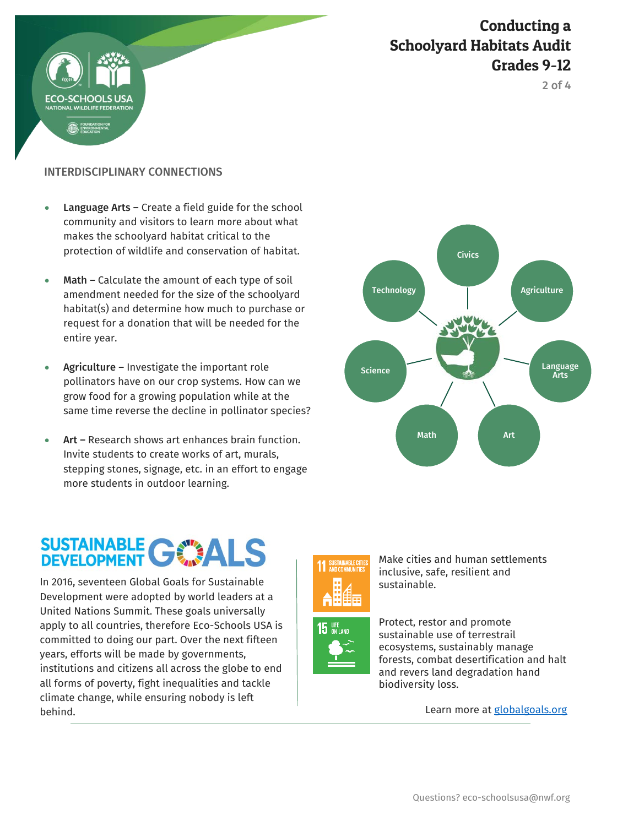

2 of 4

#### INTERDISCIPLINARY CONNECTIONS

- Language Arts Create a field guide for the school community and visitors to learn more about what makes the schoolyard habitat critical to the protection of wildlife and conservation of habitat.
- Math Calculate the amount of each type of soil amendment needed for the size of the schoolyard habitat(s) and determine how much to purchase or request for a donation that will be needed for the entire year.
- Agriculture Investigate the important role pollinators have on our crop systems. How can we grow food for a growing population while at the same time reverse the decline in pollinator species?
- Art Research shows art enhances brain function. Invite students to create works of art, murals, stepping stones, signage, etc. in an effort to engage more students in outdoor learning.

# SUSTAINABLE GWALS

 In 2016, seventeen Global Goals for Sustainable Development were adopted by world leaders at a United Nations Summit. These goals universally apply to all countries, therefore Eco-Schools USA is committed to doing our part. Over the next fifteen years, efforts will be made by governments, institutions and citizens all across the globe to end all forms of poverty, fight inequalities and tackle climate change, while ensuring nobody is left behind.





Make cities and human settlements inclusive, safe, resilient and sustainable.



Protect, restor and promote sustainable use of terrestrail ecosystems, sustainably manage forests, combat desertification and halt and revers land degradation hand biodiversity loss.

Learn more at [globalgoals.org](https://www.globalgoals.org/)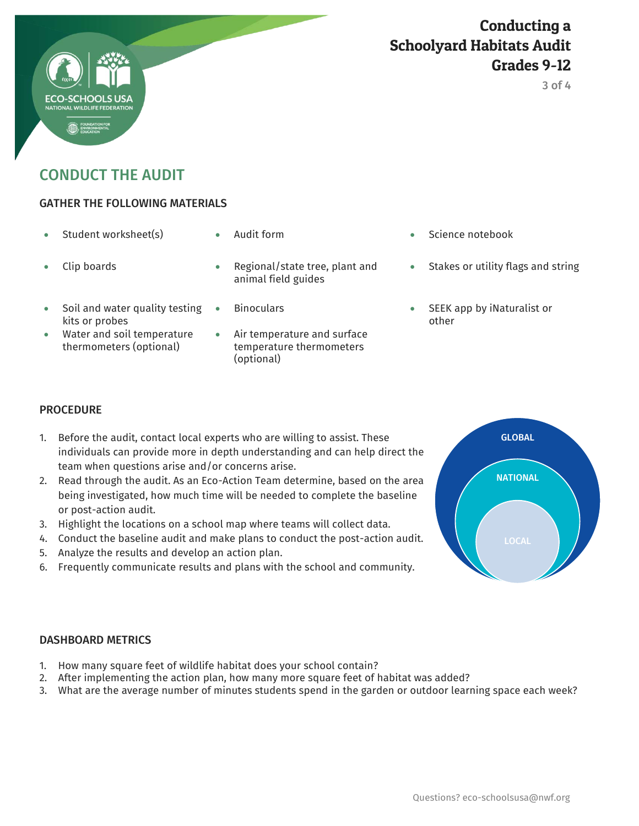## Conducting a Schoolyard Habitats Audit Grades 9-12

CONDUCT THE AUDIT

#### GATHER THE FOLLOWING MATERIALS

- 
- 

- 
- Soil and water quality testing kits or probes
- Water and soil temperature thermometers (optional)
- Clip boards **Regional/state tree, plant and** animal field guides
	-
	- Air temperature and surface temperature thermometers (optional)
- Student worksheet(s)  $\bullet$  Audit form  $\bullet$  Science notebook
	- Stakes or utility flags and string
	- Binoculars SEEK app by iNaturalist or other

#### **PROCEDURE**

- 1. Before the audit, contact local experts who are willing to assist. These individuals can provide more in depth understanding and can help direct the team when questions arise and/or concerns arise.
- 2. Read through the audit. As an Eco-Action Team determine, based on the area being investigated, how much time will be needed to complete the baseline or post-action audit.
- 3. Highlight the locations on a school map where teams will collect data.
- 4. Conduct the baseline audit and make plans to conduct the post-action audit.
- 5. Analyze the results and develop an action plan.
- 6. Frequently communicate results and plans with the school and community.



#### DASHBOARD METRICS

- 1. How many square feet of wildlife habitat does your school contain?
- 2. After implementing the action plan, how many more square feet of habitat was added?
- 3. What are the average number of minutes students spend in the garden or outdoor learning space each week?